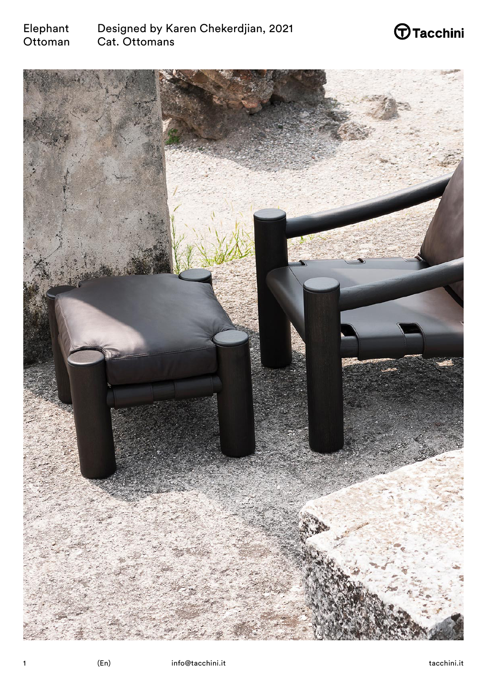

# $\bigoplus$ Tacchini

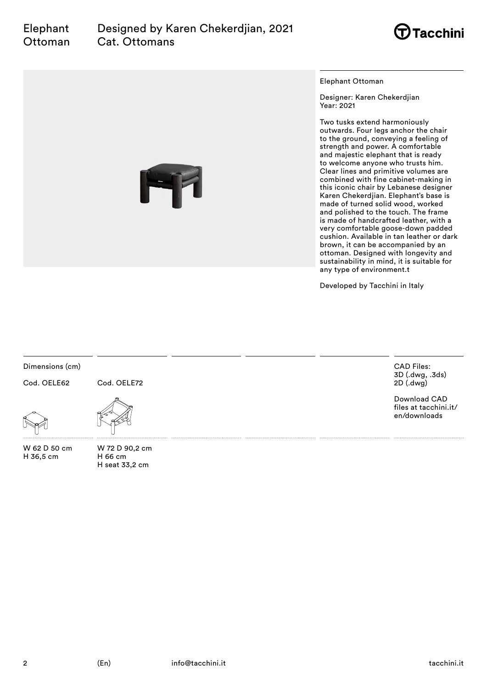

Elephant Ottoman

Designer: Karen Chekerdjian Year: 2021

Two tusks extend harmoniously outwards. Four legs anchor the chair to the ground, conveying a feeling of strength and power. A comfortable and majestic elephant that is ready to welcome anyone who trusts him. Clear lines and primitive volumes are combined with fine cabinet-making in this iconic chair by Lebanese designer Karen Chekerdjian. Elephant's base is made of turned solid wood, worked and polished to the touch. The frame is made of handcrafted leather, with a very comfortable goose-down padded cushion. Available in tan leather or dark brown, it can be accompanied by an ottoman. Designed with longevity and sustainability in mind, it is suitable for any type of environment.t

Developed by Tacchini in Italy

Dimensions (cm)

Cod. OELE62

Cod. OELE72



W 62 D 50 cm H 36,5 cm



W 72 D 90,2 cm H 66 cm H seat 33,2 cm

CAD Files: 3D (.dwg, .3ds) 2D (.dwg)

Download CAD files at tacchini.it/ en/downloads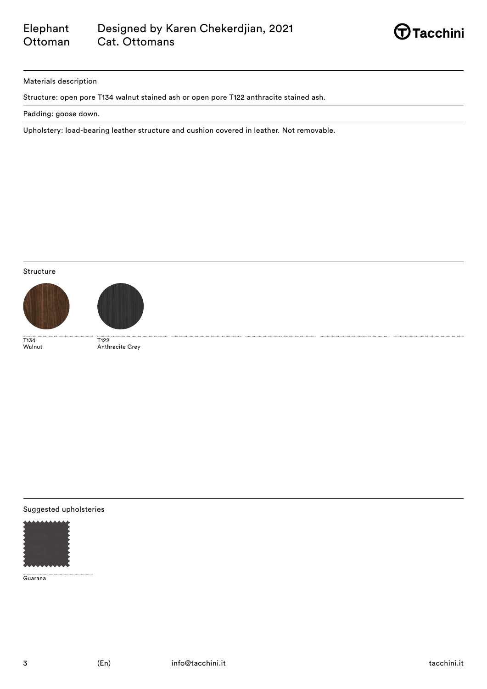

### Materials description

Structure: open pore T134 walnut stained ash or open pore T122 anthracite stained ash.

Padding: goose down.

Upholstery: load-bearing leather structure and cushion covered in leather. Not removable.

## Structure





T134 Walnut

T122 Anthracite Grey

### Suggested upholsteries



Guarana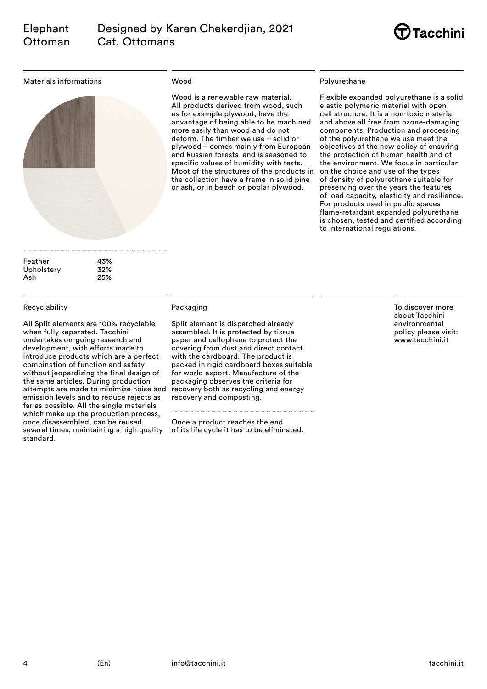

#### Materials informations



#### Wood

Wood is a renewable raw material. All products derived from wood, such as for example plywood, have the advantage of being able to be machined more easily than wood and do not deform. The timber we use – solid or plywood – comes mainly from European and Russian forests and is seasoned to specific values of humidity with tests. Moot of the structures of the products in the collection have a frame in solid pine or ash, or in beech or poplar plywood.

### Polyurethane

Flexible expanded polyurethane is a solid elastic polymeric material with open cell structure. It is a non-toxic material and above all free from ozone-damaging components. Production and processing of the polyurethane we use meet the objectives of the new policy of ensuring the protection of human health and of the environment. We focus in particular on the choice and use of the types of density of polyurethane suitable for preserving over the years the features of load capacity, elasticity and resilience. For products used in public spaces flame-retardant expanded polyurethane is chosen, tested and certified according to international regulations.

| Feather    | 43% |
|------------|-----|
| Upholstery | 32% |
| Ash        | 25% |
|            |     |

#### Recyclability

All Split elements are 100% recyclable when fully separated. Tacchini undertakes on-going research and development, with efforts made to introduce products which are a perfect combination of function and safety without jeopardizing the final design of the same articles. During production attempts are made to minimize noise and emission levels and to reduce rejects as far as possible. All the single materials which make up the production process, once disassembled, can be reused several times, maintaining a high quality standard.

### Packaging

Split element is dispatched already assembled. It is protected by tissue paper and cellophane to protect the covering from dust and direct contact with the cardboard. The product is packed in rigid cardboard boxes suitable for world export. Manufacture of the packaging observes the criteria for recovery both as recycling and energy recovery and composting.

Once a product reaches the end of its life cycle it has to be eliminated. To discover more about Tacchini environmental policy please visit: www.tacchini.it